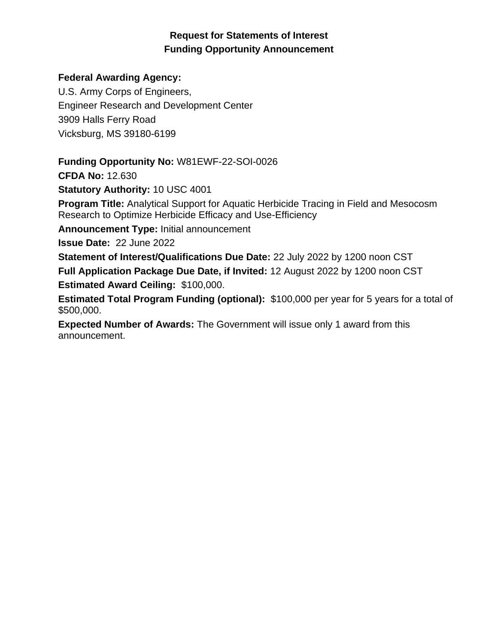# **Request for Statements of Interest Funding Opportunity Announcement**

# **Federal Awarding Agency:**

U.S. Army Corps of Engineers, Engineer Research and Development Center 3909 Halls Ferry Road Vicksburg, MS 39180-6199

**Funding Opportunity No:** W81EWF-22-SOI-0026

**CFDA No:** 12.630

**Statutory Authority:** 10 USC 4001

**Program Title:** Analytical Support for Aquatic Herbicide Tracing in Field and Mesocosm Research to Optimize Herbicide Efficacy and Use-Efficiency

**Announcement Type:** Initial announcement

**Issue Date:** 22 June 2022

**Statement of Interest/Qualifications Due Date:** 22 July 2022 by 1200 noon CST **Full Application Package Due Date, if Invited:** 12 August 2022 by 1200 noon CST **Estimated Award Ceiling:** \$100,000.

**Estimated Total Program Funding (optional):** \$100,000 per year for 5 years for a total of \$500,000.

**Expected Number of Awards:** The Government will issue only 1 award from this announcement.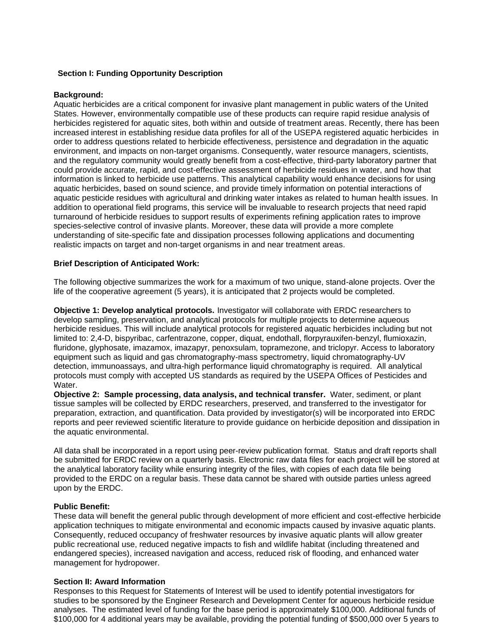# **Section I: Funding Opportunity Description**

#### **Background:**

Aquatic herbicides are a critical component for invasive plant management in public waters of the United States. However, environmentally compatible use of these products can require rapid residue analysis of herbicides registered for aquatic sites, both within and outside of treatment areas. Recently, there has been increased interest in establishing residue data profiles for all of the USEPA registered aquatic herbicides in order to address questions related to herbicide effectiveness, persistence and degradation in the aquatic environment, and impacts on non-target organisms. Consequently, water resource managers, scientists, and the regulatory community would greatly benefit from a cost-effective, third-party laboratory partner that could provide accurate, rapid, and cost-effective assessment of herbicide residues in water, and how that information is linked to herbicide use patterns. This analytical capability would enhance decisions for using aquatic herbicides, based on sound science, and provide timely information on potential interactions of aquatic pesticide residues with agricultural and drinking water intakes as related to human health issues. In addition to operational field programs, this service will be invaluable to research projects that need rapid turnaround of herbicide residues to support results of experiments refining application rates to improve species-selective control of invasive plants. Moreover, these data will provide a more complete understanding of site-specific fate and dissipation processes following applications and documenting realistic impacts on target and non-target organisms in and near treatment areas.

#### **Brief Description of Anticipated Work:**

The following objective summarizes the work for a maximum of two unique, stand-alone projects. Over the life of the cooperative agreement (5 years), it is anticipated that 2 projects would be completed.

**Objective 1: Develop analytical protocols.** Investigator will collaborate with ERDC researchers to develop sampling, preservation, and analytical protocols for multiple projects to determine aqueous herbicide residues. This will include analytical protocols for registered aquatic herbicides including but not limited to: 2,4-D, bispyribac, carfentrazone, copper, diquat, endothall, florpyrauxifen-benzyl, flumioxazin, fluridone, glyphosate, imazamox, imazapyr, penoxsulam, topramezone, and triclopyr. Access to laboratory equipment such as liquid and gas chromatography-mass spectrometry, liquid chromatography-UV detection, immunoassays, and ultra-high performance liquid chromatography is required. All analytical protocols must comply with accepted US standards as required by the USEPA Offices of Pesticides and Water.

**Objective 2: Sample processing, data analysis, and technical transfer.** Water, sediment, or plant tissue samples will be collected by ERDC researchers, preserved, and transferred to the investigator for preparation, extraction, and quantification. Data provided by investigator(s) will be incorporated into ERDC reports and peer reviewed scientific literature to provide guidance on herbicide deposition and dissipation in the aquatic environmental.

All data shall be incorporated in a report using peer-review publication format. Status and draft reports shall be submitted for ERDC review on a quarterly basis. Electronic raw data files for each project will be stored at the analytical laboratory facility while ensuring integrity of the files, with copies of each data file being provided to the ERDC on a regular basis. These data cannot be shared with outside parties unless agreed upon by the ERDC.

#### **Public Benefit:**

These data will benefit the general public through development of more efficient and cost-effective herbicide application techniques to mitigate environmental and economic impacts caused by invasive aquatic plants. Consequently, reduced occupancy of freshwater resources by invasive aquatic plants will allow greater public recreational use, reduced negative impacts to fish and wildlife habitat (including threatened and endangered species), increased navigation and access, reduced risk of flooding, and enhanced water management for hydropower.

#### **Section II: Award Information**

Responses to this Request for Statements of Interest will be used to identify potential investigators for studies to be sponsored by the Engineer Research and Development Center for aqueous herbicide residue analyses. The estimated level of funding for the base period is approximately \$100,000. Additional funds of \$100,000 for 4 additional years may be available, providing the potential funding of \$500,000 over 5 years to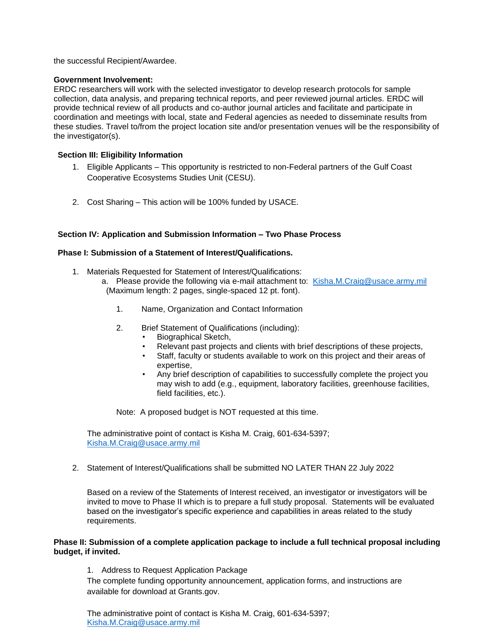the successful Recipient/Awardee.

#### **Government Involvement:**

ERDC researchers will work with the selected investigator to develop research protocols for sample collection, data analysis, and preparing technical reports, and peer reviewed journal articles. ERDC will provide technical review of all products and co-author journal articles and facilitate and participate in coordination and meetings with local, state and Federal agencies as needed to disseminate results from these studies. Travel to/from the project location site and/or presentation venues will be the responsibility of the investigator(s).

#### **Section III: Eligibility Information**

- 1. Eligible Applicants This opportunity is restricted to non-Federal partners of the Gulf Coast Cooperative Ecosystems Studies Unit (CESU).
- 2. Cost Sharing This action will be 100% funded by USACE.

#### **Section IV: Application and Submission Information – Two Phase Process**

#### **Phase I: Submission of a Statement of Interest/Qualifications.**

- 1. Materials Requested for Statement of Interest/Qualifications:
	- a. Please provide the following via e-mail attachment to: [Kisha.M.Craig@usace.army.mil](mailto:Kisha.M.Craig@usace.army.mil) (Maximum length: 2 pages, single-spaced 12 pt. font).
		- 1. Name, Organization and Contact Information
		- 2. Brief Statement of Qualifications (including):
			- Biographical Sketch,
			- Relevant past projects and clients with brief descriptions of these projects,
			- Staff, faculty or students available to work on this project and their areas of expertise,
			- Any brief description of capabilities to successfully complete the project you may wish to add (e.g., equipment, laboratory facilities, greenhouse facilities, field facilities, etc.).

Note: A proposed budget is NOT requested at this time.

The administrative point of contact is Kisha M. Craig, 601-634-5397; [Kisha.M.Craig@usace.army.mil](mailto:Kisha.M.Craig@usace.army.mil)

2. Statement of Interest/Qualifications shall be submitted NO LATER THAN 22 July 2022

Based on a review of the Statements of Interest received, an investigator or investigators will be invited to move to Phase II which is to prepare a full study proposal. Statements will be evaluated based on the investigator's specific experience and capabilities in areas related to the study requirements.

#### **Phase II: Submission of a complete application package to include a full technical proposal including budget, if invited.**

1. Address to Request Application Package

The complete funding opportunity announcement, application forms, and instructions are available for download at Grants.gov.

The administrative point of contact is Kisha M. Craig, 601-634-5397; [Kisha.M.Craig@usace.army.mil](mailto:Kisha.M.Craig@usace.army.mil)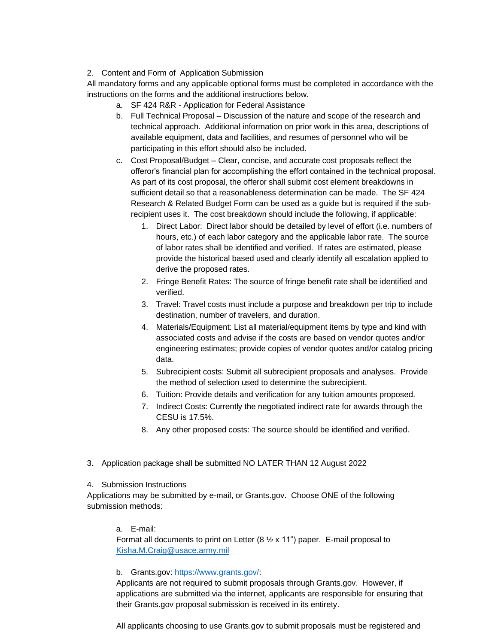# 2. Content and Form of Application Submission

All mandatory forms and any applicable optional forms must be completed in accordance with the instructions on the forms and the additional instructions below.

- a. SF 424 R&R Application for Federal Assistance
- b. Full Technical Proposal Discussion of the nature and scope of the research and technical approach. Additional information on prior work in this area, descriptions of available equipment, data and facilities, and resumes of personnel who will be participating in this effort should also be included.
- c. Cost Proposal/Budget Clear, concise, and accurate cost proposals reflect the offeror's financial plan for accomplishing the effort contained in the technical proposal. As part of its cost proposal, the offeror shall submit cost element breakdowns in sufficient detail so that a reasonableness determination can be made. The SF 424 Research & Related Budget Form can be used as a guide but is required if the subrecipient uses it. The cost breakdown should include the following, if applicable:
	- 1. Direct Labor: Direct labor should be detailed by level of effort (i.e. numbers of hours, etc.) of each labor category and the applicable labor rate. The source of labor rates shall be identified and verified. If rates are estimated, please provide the historical based used and clearly identify all escalation applied to derive the proposed rates.
	- 2. Fringe Benefit Rates: The source of fringe benefit rate shall be identified and verified.
	- 3. Travel: Travel costs must include a purpose and breakdown per trip to include destination, number of travelers, and duration.
	- 4. Materials/Equipment: List all material/equipment items by type and kind with associated costs and advise if the costs are based on vendor quotes and/or engineering estimates; provide copies of vendor quotes and/or catalog pricing data.
	- 5. Subrecipient costs: Submit all subrecipient proposals and analyses. Provide the method of selection used to determine the subrecipient.
	- 6. Tuition: Provide details and verification for any tuition amounts proposed.
	- 7. Indirect Costs: Currently the negotiated indirect rate for awards through the CESU is 17.5%.
	- 8. Any other proposed costs: The source should be identified and verified.
- 3. Application package shall be submitted NO LATER THAN 12 August 2022

#### 4. Submission Instructions

Applications may be submitted by e-mail, or Grants.gov. Choose ONE of the following submission methods:

a. E-mail:

Format all documents to print on Letter (8  $\frac{1}{2}$  x 11") paper. E-mail proposal to [Kisha.M.Craig@usace.army.mil](mailto:Kisha.M.Craig@usace.army.mil)

# b. Grants.gov: [https://www.grants.gov/:](https://www.grants.gov/)

Applicants are not required to submit proposals through Grants.gov. However, if applications are submitted via the internet, applicants are responsible for ensuring that their Grants.gov proposal submission is received in its entirety.

All applicants choosing to use Grants.gov to submit proposals must be registered and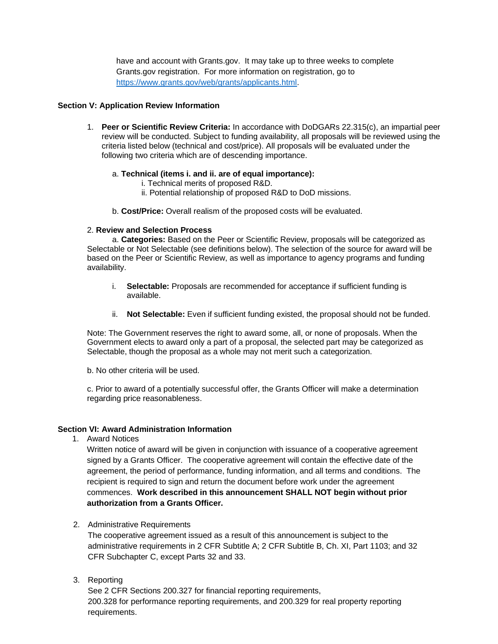have and account with Grants.gov. It may take up to three weeks to complete Grants.gov registration. For more information on registration, go to [https://www.grants.gov/web/grants/applicants.html.](https://www.grants.gov/web/grants/applicants.html)

#### **Section V: Application Review Information**

1. **Peer or Scientific Review Criteria:** In accordance with DoDGARs 22.315(c), an impartial peer review will be conducted. Subject to funding availability, all proposals will be reviewed using the criteria listed below (technical and cost/price). All proposals will be evaluated under the following two criteria which are of descending importance.

# a. **Technical (items i. and ii. are of equal importance):**

- i. Technical merits of proposed R&D.
- ii. Potential relationship of proposed R&D to DoD missions.
- b. **Cost/Price:** Overall realism of the proposed costs will be evaluated.

# 2. **Review and Selection Process**

a. **Categories:** Based on the Peer or Scientific Review, proposals will be categorized as Selectable or Not Selectable (see definitions below). The selection of the source for award will be based on the Peer or Scientific Review, as well as importance to agency programs and funding availability.

- i. **Selectable:** Proposals are recommended for acceptance if sufficient funding is available.
- ii. **Not Selectable:** Even if sufficient funding existed, the proposal should not be funded.

Note: The Government reserves the right to award some, all, or none of proposals. When the Government elects to award only a part of a proposal, the selected part may be categorized as Selectable, though the proposal as a whole may not merit such a categorization.

b. No other criteria will be used.

c. Prior to award of a potentially successful offer, the Grants Officer will make a determination regarding price reasonableness.

# **Section VI: Award Administration Information**

1. Award Notices

Written notice of award will be given in conjunction with issuance of a cooperative agreement signed by a Grants Officer. The cooperative agreement will contain the effective date of the agreement, the period of performance, funding information, and all terms and conditions. The recipient is required to sign and return the document before work under the agreement commences. **Work described in this announcement SHALL NOT begin without prior authorization from a Grants Officer.**

2. Administrative Requirements

The cooperative agreement issued as a result of this announcement is subject to the administrative requirements in 2 CFR Subtitle A; 2 CFR Subtitle B, Ch. XI, Part 1103; and 32 CFR Subchapter C, except Parts 32 and 33.

3. Reporting

See 2 CFR Sections 200.327 for financial reporting requirements, 200.328 for performance reporting requirements, and 200.329 for real property reporting requirements.